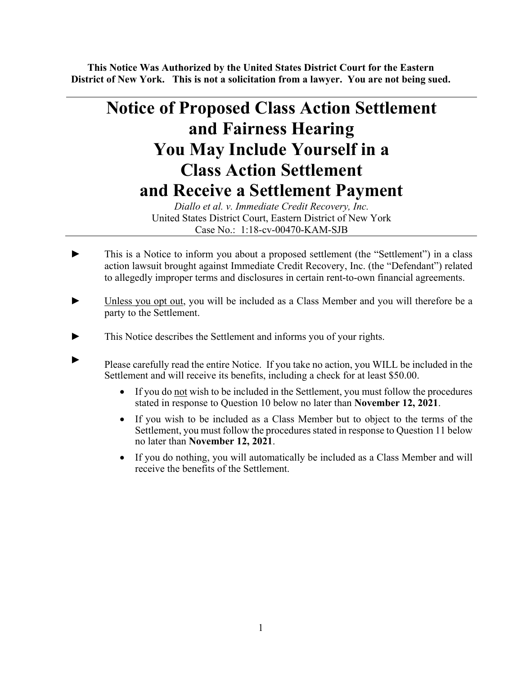**This Notice Was Authorized by the United States District Court for the Eastern District of New York. This is not a solicitation from a lawyer. You are not being sued.** 

# **Notice of Proposed Class Action Settlement and Fairness Hearing You May Include Yourself in a Class Action Settlement and Receive a Settlement Payment**

*Diallo et al. v. Immediate Credit Recovery, Inc.*  United States District Court, Eastern District of New York Case No.: 1:18-cv-00470-KAM-SJB

- This is a Notice to inform you about a proposed settlement (the "Settlement") in a class action lawsuit brought against Immediate Credit Recovery, Inc. (the "Defendant") related to allegedly improper terms and disclosures in certain rent-to-own financial agreements.
- ► Unless you opt out, you will be included as a Class Member and you will therefore be a party to the Settlement.
- ► This Notice describes the Settlement and informs you of your rights.
- ► Please carefully read the entire Notice. If you take no action, you WILL be included in the Settlement and will receive its benefits, including a check for at least \$50.00.
	- If you do not wish to be included in the Settlement, you must follow the procedures stated in response to Question 10 below no later than **November 12, 2021**.
	- If you wish to be included as a Class Member but to object to the terms of the Settlement, you must follow the procedures stated in response to Question 11 below no later than **November 12, 2021**.
	- If you do nothing, you will automatically be included as a Class Member and will receive the benefits of the Settlement.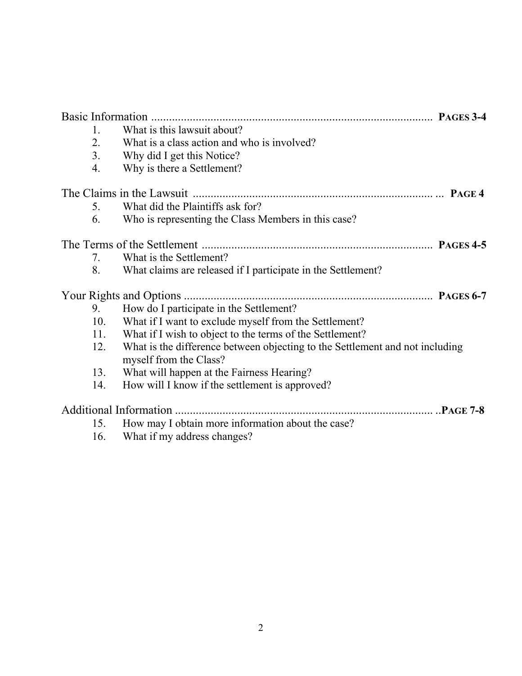| 1.  | What is this lawsuit about?                                                                            |  |
|-----|--------------------------------------------------------------------------------------------------------|--|
| 2.  | What is a class action and who is involved?                                                            |  |
| 3.  | Why did I get this Notice?                                                                             |  |
| 4.  | Why is there a Settlement?                                                                             |  |
|     |                                                                                                        |  |
| 5.  | What did the Plaintiffs ask for?                                                                       |  |
| 6.  | Who is representing the Class Members in this case?                                                    |  |
|     |                                                                                                        |  |
| 7.  | What is the Settlement?                                                                                |  |
| 8.  | What claims are released if I participate in the Settlement?                                           |  |
|     |                                                                                                        |  |
| 9.  | How do I participate in the Settlement?                                                                |  |
| 10. | What if I want to exclude myself from the Settlement?                                                  |  |
| 11. | What if I wish to object to the terms of the Settlement?                                               |  |
| 12. | What is the difference between objecting to the Settlement and not including<br>myself from the Class? |  |
| 13. | What will happen at the Fairness Hearing?                                                              |  |
| 14. | How will I know if the settlement is approved?                                                         |  |
|     |                                                                                                        |  |
|     | 15. How may I obtain more information about the case?                                                  |  |
|     |                                                                                                        |  |

16. What if my address changes?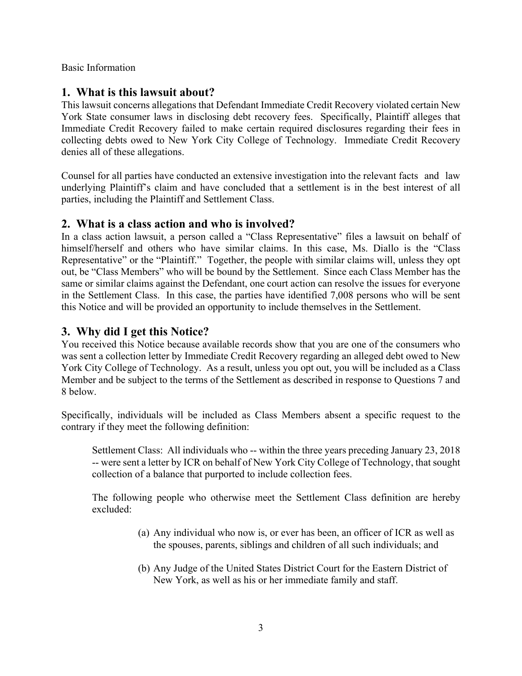Basic Information

### **1. What is this lawsuit about?**

This lawsuit concerns allegations that Defendant Immediate Credit Recovery violated certain New York State consumer laws in disclosing debt recovery fees. Specifically, Plaintiff alleges that Immediate Credit Recovery failed to make certain required disclosures regarding their fees in collecting debts owed to New York City College of Technology. Immediate Credit Recovery denies all of these allegations.

Counsel for all parties have conducted an extensive investigation into the relevant facts and law underlying Plaintiff's claim and have concluded that a settlement is in the best interest of all parties, including the Plaintiff and Settlement Class.

### **2. What is a class action and who is involved?**

In a class action lawsuit, a person called a "Class Representative" files a lawsuit on behalf of himself/herself and others who have similar claims. In this case, Ms. Diallo is the "Class Representative" or the "Plaintiff." Together, the people with similar claims will, unless they opt out, be "Class Members" who will be bound by the Settlement. Since each Class Member has the same or similar claims against the Defendant, one court action can resolve the issues for everyone in the Settlement Class. In this case, the parties have identified 7,008 persons who will be sent this Notice and will be provided an opportunity to include themselves in the Settlement.

## **3. Why did I get this Notice?**

You received this Notice because available records show that you are one of the consumers who was sent a collection letter by Immediate Credit Recovery regarding an alleged debt owed to New York City College of Technology. As a result, unless you opt out, you will be included as a Class Member and be subject to the terms of the Settlement as described in response to Questions 7 and 8 below.

Specifically, individuals will be included as Class Members absent a specific request to the contrary if they meet the following definition:

Settlement Class: All individuals who -- within the three years preceding January 23, 2018 -- were sent a letter by ICR on behalf of New York City College of Technology, that sought collection of a balance that purported to include collection fees.

The following people who otherwise meet the Settlement Class definition are hereby excluded:

- (a) Any individual who now is, or ever has been, an officer of ICR as well as the spouses, parents, siblings and children of all such individuals; and
- (b) Any Judge of the United States District Court for the Eastern District of New York, as well as his or her immediate family and staff.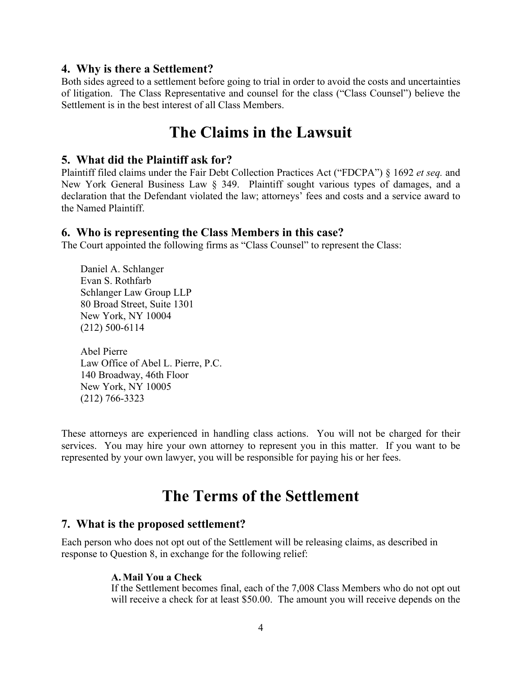#### **4. Why is there a Settlement?**

Both sides agreed to a settlement before going to trial in order to avoid the costs and uncertainties of litigation. The Class Representative and counsel for the class ("Class Counsel") believe the Settlement is in the best interest of all Class Members.

## **The Claims in the Lawsuit**

#### **5. What did the Plaintiff ask for?**

Plaintiff filed claims under the Fair Debt Collection Practices Act ("FDCPA") § 1692 *et seq.* and New York General Business Law § 349. Plaintiff sought various types of damages, and a declaration that the Defendant violated the law; attorneys' fees and costs and a service award to the Named Plaintiff.

#### **6. Who is representing the Class Members in this case?**

The Court appointed the following firms as "Class Counsel" to represent the Class:

Daniel A. Schlanger Evan S. Rothfarb Schlanger Law Group LLP 80 Broad Street, Suite 1301 New York, NY 10004 (212) 500-6114

Abel Pierre Law Office of Abel L. Pierre, P.C. 140 Broadway, 46th Floor New York, NY 10005 (212) 766-3323

These attorneys are experienced in handling class actions. You will not be charged for their services. You may hire your own attorney to represent you in this matter. If you want to be represented by your own lawyer, you will be responsible for paying his or her fees.

## **The Terms of the Settlement**

#### **7. What is the proposed settlement?**

Each person who does not opt out of the Settlement will be releasing claims, as described in response to Question 8, in exchange for the following relief:

#### **A. Mail You a Check**

If the Settlement becomes final, each of the 7,008 Class Members who do not opt out will receive a check for at least \$50.00. The amount you will receive depends on the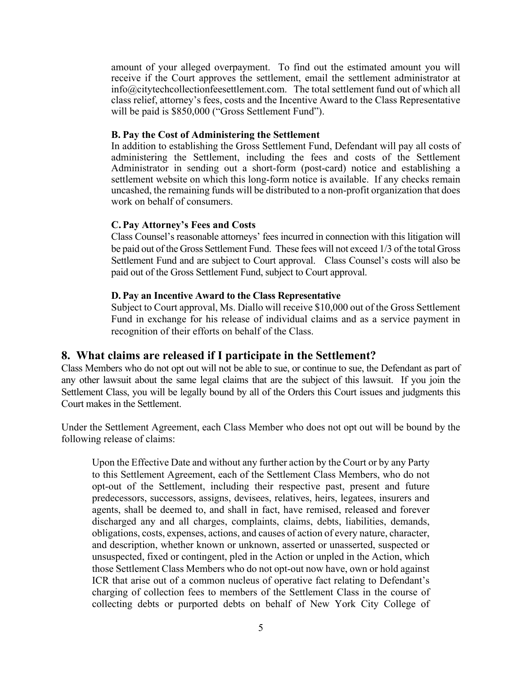amount of your alleged overpayment. To find out the estimated amount you will receive if the Court approves the settlement, email the settlement administrator at info@citytechcollectionfeesettlement.com. The total settlement fund out of which all class relief, attorney's fees, costs and the Incentive Award to the Class Representative will be paid is \$850,000 ("Gross Settlement Fund").

#### **B. Pay the Cost of Administering the Settlement**

In addition to establishing the Gross Settlement Fund, Defendant will pay all costs of administering the Settlement, including the fees and costs of the Settlement Administrator in sending out a short-form (post-card) notice and establishing a settlement website on which this long-form notice is available. If any checks remain uncashed, the remaining funds will be distributed to a non-profit organization that does work on behalf of consumers.

#### **C. Pay Attorney's Fees and Costs**

Class Counsel's reasonable attorneys' fees incurred in connection with this litigation will be paid out of the Gross Settlement Fund. These fees will not exceed 1/3 of the total Gross Settlement Fund and are subject to Court approval. Class Counsel's costs will also be paid out of the Gross Settlement Fund, subject to Court approval.

#### **D. Pay an Incentive Award to the Class Representative**

Subject to Court approval, Ms. Diallo will receive \$10,000 out of the Gross Settlement Fund in exchange for his release of individual claims and as a service payment in recognition of their efforts on behalf of the Class.

### **8. What claims are released if I participate in the Settlement?**

Class Members who do not opt out will not be able to sue, or continue to sue, the Defendant as part of any other lawsuit about the same legal claims that are the subject of this lawsuit. If you join the Settlement Class, you will be legally bound by all of the Orders this Court issues and judgments this Court makes in the Settlement.

Under the Settlement Agreement, each Class Member who does not opt out will be bound by the following release of claims:

Upon the Effective Date and without any further action by the Court or by any Party to this Settlement Agreement, each of the Settlement Class Members, who do not opt-out of the Settlement, including their respective past, present and future predecessors, successors, assigns, devisees, relatives, heirs, legatees, insurers and agents, shall be deemed to, and shall in fact, have remised, released and forever discharged any and all charges, complaints, claims, debts, liabilities, demands, obligations, costs, expenses, actions, and causes of action of every nature, character, and description, whether known or unknown, asserted or unasserted, suspected or unsuspected, fixed or contingent, pled in the Action or unpled in the Action, which those Settlement Class Members who do not opt-out now have, own or hold against ICR that arise out of a common nucleus of operative fact relating to Defendant's charging of collection fees to members of the Settlement Class in the course of collecting debts or purported debts on behalf of New York City College of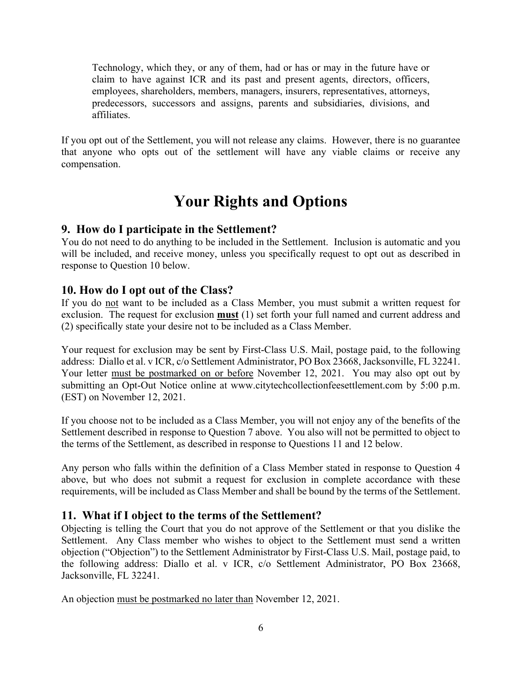Technology, which they, or any of them, had or has or may in the future have or claim to have against ICR and its past and present agents, directors, officers, employees, shareholders, members, managers, insurers, representatives, attorneys, predecessors, successors and assigns, parents and subsidiaries, divisions, and affiliates.

If you opt out of the Settlement, you will not release any claims. However, there is no guarantee that anyone who opts out of the settlement will have any viable claims or receive any compensation.

# **Your Rights and Options**

## **9. How do I participate in the Settlement?**

You do not need to do anything to be included in the Settlement. Inclusion is automatic and you will be included, and receive money, unless you specifically request to opt out as described in response to Question 10 below.

## **10. How do I opt out of the Class?**

If you do not want to be included as a Class Member, you must submit a written request for exclusion. The request for exclusion **must** (1) set forth your full named and current address and (2) specifically state your desire not to be included as a Class Member.

Your request for exclusion may be sent by First-Class U.S. Mail, postage paid, to the following address: Diallo et al. v ICR, c/o Settlement Administrator, PO Box 23668, Jacksonville, FL 32241. Your letter must be postmarked on or before November 12, 2021.You may also opt out by submitting an Opt-Out Notice online at www.citytechcollectionfeesettlement.com by 5:00 p.m. (EST) on November 12, 2021.

If you choose not to be included as a Class Member, you will not enjoy any of the benefits of the Settlement described in response to Question 7 above. You also will not be permitted to object to the terms of the Settlement, as described in response to Questions 11 and 12 below.

Any person who falls within the definition of a Class Member stated in response to Question 4 above, but who does not submit a request for exclusion in complete accordance with these requirements, will be included as Class Member and shall be bound by the terms of the Settlement.

## **11. What if I object to the terms of the Settlement?**

Objecting is telling the Court that you do not approve of the Settlement or that you dislike the Settlement. Any Class member who wishes to object to the Settlement must send a written objection ("Objection") to the Settlement Administrator by First-Class U.S. Mail, postage paid, to the following address: Diallo et al. v ICR, c/o Settlement Administrator, PO Box 23668, Jacksonville, FL 32241.

An objection must be postmarked no later than November 12, 2021.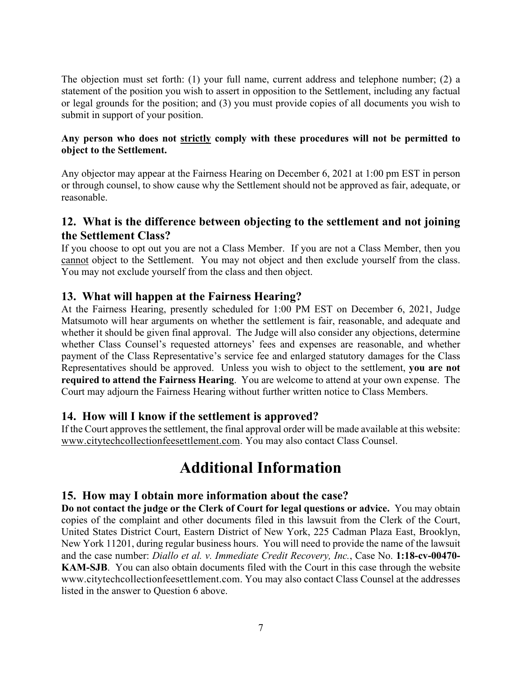The objection must set forth: (1) your full name, current address and telephone number; (2) a statement of the position you wish to assert in opposition to the Settlement, including any factual or legal grounds for the position; and (3) you must provide copies of all documents you wish to submit in support of your position.

#### **Any person who does not strictly comply with these procedures will not be permitted to object to the Settlement.**

Any objector may appear at the Fairness Hearing on December 6, 2021 at 1:00 pm EST in person or through counsel, to show cause why the Settlement should not be approved as fair, adequate, or reasonable.

## **12. What is the difference between objecting to the settlement and not joining the Settlement Class?**

If you choose to opt out you are not a Class Member. If you are not a Class Member, then you cannot object to the Settlement. You may not object and then exclude yourself from the class. You may not exclude yourself from the class and then object.

## **13. What will happen at the Fairness Hearing?**

At the Fairness Hearing, presently scheduled for 1:00 PM EST on December 6, 2021, Judge Matsumoto will hear arguments on whether the settlement is fair, reasonable, and adequate and whether it should be given final approval. The Judge will also consider any objections, determine whether Class Counsel's requested attorneys' fees and expenses are reasonable, and whether payment of the Class Representative's service fee and enlarged statutory damages for the Class Representatives should be approved. Unless you wish to object to the settlement, **you are not required to attend the Fairness Hearing**. You are welcome to attend at your own expense. The Court may adjourn the Fairness Hearing without further written notice to Class Members.

### **14. How will I know if the settlement is approved?**

If the Court approves the settlement, the final approval order will be made available at this website: www.citytechcollectionfeesettlement.com. You may also contact Class Counsel.

# **Additional Information**

### **15. How may I obtain more information about the case?**

**Do not contact the judge or the Clerk of Court for legal questions or advice.** You may obtain copies of the complaint and other documents filed in this lawsuit from the Clerk of the Court, United States District Court, Eastern District of New York, 225 Cadman Plaza East, Brooklyn, New York 11201, during regular business hours. You will need to provide the name of the lawsuit and the case number: *Diallo et al. v. Immediate Credit Recovery, Inc.*, Case No. **1:18-cv-00470- KAM-SJB**. You can also obtain documents filed with the Court in this case through the website www.citytechcollectionfeesettlement.com. You may also contact Class Counsel at the addresses listed in the answer to Question 6 above.